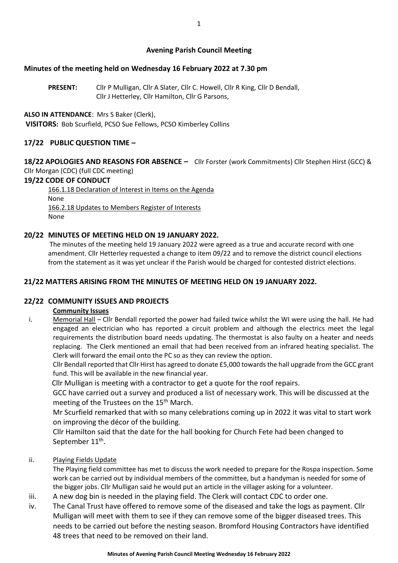## **Avening Parish Council Meeting**

## **Minutes of the meeting held on Wednesday 16 February 2022 at 7.30 pm**

**PRESENT:** Cllr P Mulligan, Cllr A Slater, Cllr C. Howell, Cllr R King, Cllr D Bendall, Cllr J Hetterley, Cllr Hamilton, Cllr G Parsons,

## **ALSO IN ATTENDANCE**: Mrs S Baker (Clerk),

**VISITORS:** Bob Scurfield, PCSO Sue Fellows, PCSO Kimberley Collins

# **17/22 PUBLIC QUESTION TIME –**

**18/22 APOLOGIES AND REASONS FOR ABSENCE –** Cllr Forster (work Commitments) Cllr Stephen Hirst (GCC) & Cllr Morgan (CDC) (full CDC meeting)

## **19/22 CODE OF CONDUCT**

166.1.18 Declaration of Interest in Items on the Agenda None 166.2.18 Updates to Members Register of Interests None

# **20/22 MINUTES OF MEETING HELD ON 19 JANUARY 2022.**

The minutes of the meeting held 19 January 2022 were agreed as a true and accurate record with one amendment. Cllr Hetterley requested a change to item 09/22 and to remove the district council elections from the statement as it was yet unclear if the Parish would be charged for contested district elections.

# **21/22 MATTERS ARISING FROM THE MINUTES OF MEETING HELD ON 19 JANUARY 2022.**

## **22/22 COMMUNITY ISSUES AND PROJECTS**

## **Community Issues**

i. Memorial Hall – Cllr Bendall reported the power had failed twice whilst the WI were using the hall. He had engaged an electrician who has reported a circuit problem and although the electrics meet the legal requirements the distribution board needs updating. The thermostat is also faulty on a heater and needs replacing. The Clerk mentioned an email that had been received from an infrared heating specialist. The Clerk will forward the email onto the PC so as they can review the option.

Cllr Bendall reported that Cllr Hirst has agreed to donate £5,000 towards the hall upgrade from the GCC grant fund. This will be available in the new financial year.

Cllr Mulligan is meeting with a contractor to get a quote for the roof repairs.

GCC have carried out a survey and produced a list of necessary work. This will be discussed at the meeting of the Trustees on the 15<sup>th</sup> March.

Mr Scurfield remarked that with so many celebrations coming up in 2022 it was vital to start work on improving the décor of the building.

Cllr Hamilton said that the date for the hall booking for Church Fete had been changed to September 11 $^{\rm th}$ .

ii. Playing Fields Update

The Playing field committee has met to discuss the work needed to prepare for the Rospa inspection. Some work can be carried out by individual members of the committee, but a handyman is needed for some of the bigger jobs. Cllr Mulligan said he would put an article in the villager asking for a volunteer.

- iii. A new dog bin is needed in the playing field. The Clerk will contact CDC to order one.
- iv. The Canal Trust have offered to remove some of the diseased and take the logs as payment. Cllr Mulligan will meet with them to see if they can remove some of the bigger diseased trees. This needs to be carried out before the nesting season. Bromford Housing Contractors have identified 48 trees that need to be removed on their land.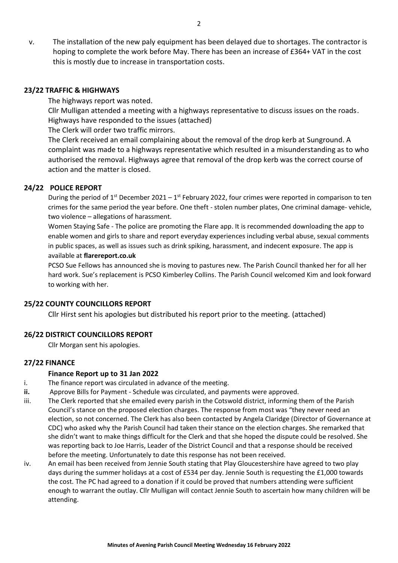v. The installation of the new paly equipment has been delayed due to shortages. The contractor is hoping to complete the work before May. There has been an increase of £364+ VAT in the cost this is mostly due to increase in transportation costs.

#### **23/22 TRAFFIC & HIGHWAYS**

The highways report was noted. Cllr Mulligan attended a meeting with a highways representative to discuss issues on the roads. Highways have responded to the issues (attached)

The Clerk will order two traffic mirrors.

The Clerk received an email complaining about the removal of the drop kerb at Sunground. A complaint was made to a highways representative which resulted in a misunderstanding as to who authorised the removal. Highways agree that removal of the drop kerb was the correct course of action and the matter is closed.

### **24/22 POLICE REPORT**

During the period of  $1^{st}$  December 2021 –  $1^{st}$  February 2022, four crimes were reported in comparison to ten crimes for the same period the year before. One theft - stolen number plates, One criminal damage- vehicle, two violence – allegations of harassment.

Women Staying Safe - The police are promoting the Flare app. It is recommended downloading the app to enable women and girls to share and report everyday experiences including verbal abuse, sexual comments in public spaces, as well as issues such as drink spiking, harassment, and indecent exposure. The app is available at **flarereport.co.uk**

PCSO Sue Fellows has announced she is moving to pastures new. The Parish Council thanked her for all her hard work. Sue's replacement is PCSO Kimberley Collins. The Parish Council welcomed Kim and look forward to working with her.

#### **25/22 COUNTY COUNCILLORS REPORT**

Cllr Hirst sent his apologies but distributed his report prior to the meeting. (attached)

#### **26/22 DISTRICT COUNCILLORS REPORT**

Cllr Morgan sent his apologies.

## **27/22 FINANCE**

#### **Finance Report up to 31 Jan 2022**

- i. The finance report was circulated in advance of the meeting.
- **ii.** Approve Bills for Payment Schedule was circulated, and payments were approved.
- iii. The Clerk reported that she emailed every parish in the Cotswold district, informing them of the Parish Council's stance on the proposed election charges. The response from most was "they never need an election, so not concerned. The Clerk has also been contacted by Angela Claridge (Director of Governance at CDC) who asked why the Parish Council had taken their stance on the election charges. She remarked that she didn't want to make things difficult for the Clerk and that she hoped the dispute could be resolved. She was reporting back to Joe Harris, Leader of the District Council and that a response should be received before the meeting. Unfortunately to date this response has not been received.
- iv. An email has been received from Jennie South stating that Play Gloucestershire have agreed to two play days during the summer holidays at a cost of £534 per day. Jennie South is requesting the £1,000 towards the cost. The PC had agreed to a donation if it could be proved that numbers attending were sufficient enough to warrant the outlay. Cllr Mulligan will contact Jennie South to ascertain how many children will be attending.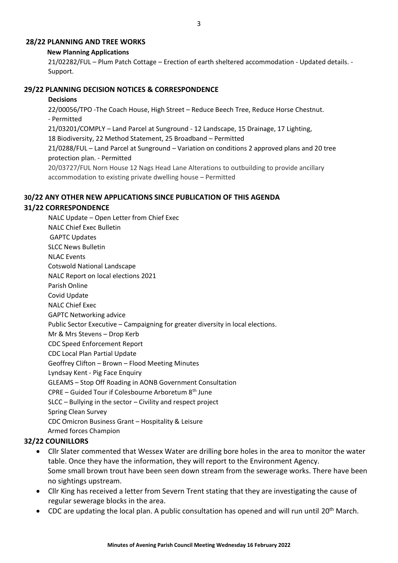### **28/22 PLANNING AND TREE WORKS**

### **New Planning Applications**

21/02282/FUL – Plum Patch Cottage – Erection of earth sheltered accommodation - Updated details. - Support.

### **29/22 PLANNING DECISION NOTICES & CORRESPONDENCE**

#### **Decisions**

22/00056/TPO -The Coach House, High Street – Reduce Beech Tree, Reduce Horse Chestnut. - Permitted 21/03201/COMPLY – Land Parcel at Sunground - 12 Landscape, 15 Drainage, 17 Lighting, 18 Biodiversity, 22 Method Statement, 25 Broadband – Permitted 21/0288/FUL – Land Parcel at Sunground – Variation on conditions 2 approved plans and 20 tree protection plan. - Permitted

20/03727/FUL Norn House 12 Nags Head Lane Alterations to outbuilding to provide ancillary accommodation to existing private dwelling house – Permitted

## **30/22 ANY OTHER NEW APPLICATIONS SINCE PUBLICATION OF THIS AGENDA**

### **31/22 CORRESPONDENCE**

NALC Update – Open Letter from Chief Exec NALC Chief Exec Bulletin GAPTC Updates SLCC News Bulletin NLAC Events Cotswold National Landscape NALC Report on local elections 2021 Parish Online Covid Update NALC Chief Exec GAPTC Networking advice Public Sector Executive – Campaigning for greater diversity in local elections. Mr & Mrs Stevens – Drop Kerb CDC Speed Enforcement Report CDC Local Plan Partial Update Geoffrey Clifton – Brown – Flood Meeting Minutes Lyndsay Kent - Pig Face Enquiry GLEAMS – Stop Off Roading in AONB Government Consultation CPRE – Guided Tour if Colesbourne Arboretum 8th June SLCC – Bullying in the sector – Civility and respect project Spring Clean Survey CDC Omicron Business Grant – Hospitality & Leisure Armed forces Champion

## **32/22 COUNILLORS**

- Cllr Slater commented that Wessex Water are drilling bore holes in the area to monitor the water table. Once they have the information, they will report to the Environment Agency. Some small brown trout have been seen down stream from the sewerage works. There have been no sightings upstream.
- Cllr King has received a letter from Severn Trent stating that they are investigating the cause of regular sewerage blocks in the area.
- CDC are updating the local plan. A public consultation has opened and will run until  $20<sup>th</sup>$  March.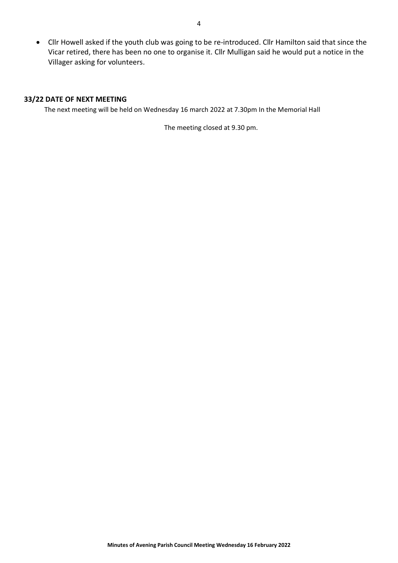• Cllr Howell asked if the youth club was going to be re-introduced. Cllr Hamilton said that since the Vicar retired, there has been no one to organise it. Cllr Mulligan said he would put a notice in the Villager asking for volunteers.

### **33/22 DATE OF NEXT MEETING**

The next meeting will be held on Wednesday 16 march 2022 at 7.30pm In the Memorial Hall

The meeting closed at 9.30 pm.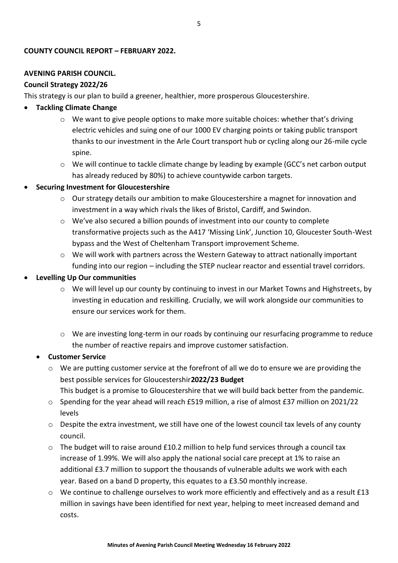## **COUNTY COUNCIL REPORT – FEBRUARY 2022.**

## **AVENING PARISH COUNCIL.**

### **Council Strategy 2022/26**

This strategy is our plan to build a greener, healthier, more prosperous Gloucestershire.

## • **Tackling Climate Change**

- $\circ$  We want to give people options to make more suitable choices: whether that's driving electric vehicles and suing one of our 1000 EV charging points or taking public transport thanks to our investment in the Arle Court transport hub or cycling along our 26-mile cycle spine.
- o We will continue to tackle climate change by leading by example (GCC's net carbon output has already reduced by 80%) to achieve countywide carbon targets.

## • **Securing Investment for Gloucestershire**

- o Our strategy details our ambition to make Gloucestershire a magnet for innovation and investment in a way which rivals the likes of Bristol, Cardiff, and Swindon.
- $\circ$  We've also secured a billion pounds of investment into our county to complete transformative projects such as the A417 'Missing Link', Junction 10, Gloucester South-West bypass and the West of Cheltenham Transport improvement Scheme.
- o We will work with partners across the Western Gateway to attract nationally important funding into our region – including the STEP nuclear reactor and essential travel corridors.

### • **Levelling Up Our communities**

- $\circ$  We will level up our county by continuing to invest in our Market Towns and Highstreets, by investing in education and reskilling. Crucially, we will work alongside our communities to ensure our services work for them.
- $\circ$  We are investing long-term in our roads by continuing our resurfacing programme to reduce the number of reactive repairs and improve customer satisfaction.

## • **Customer Service**

- $\circ$  We are putting customer service at the forefront of all we do to ensure we are providing the best possible services for Gloucestershir**2022/23 Budget** 
	- This budget is a promise to Gloucestershire that we will build back better from the pandemic.
- o Spending for the year ahead will reach £519 million, a rise of almost £37 million on 2021/22 levels
- $\circ$  Despite the extra investment, we still have one of the lowest council tax levels of any county council.
- $\circ$  The budget will to raise around £10.2 million to help fund services through a council tax increase of 1.99%. We will also apply the national social care precept at 1% to raise an additional £3.7 million to support the thousands of vulnerable adults we work with each year. Based on a band D property, this equates to a £3.50 monthly increase.
- $\circ$  We continue to challenge ourselves to work more efficiently and effectively and as a result £13 million in savings have been identified for next year, helping to meet increased demand and costs.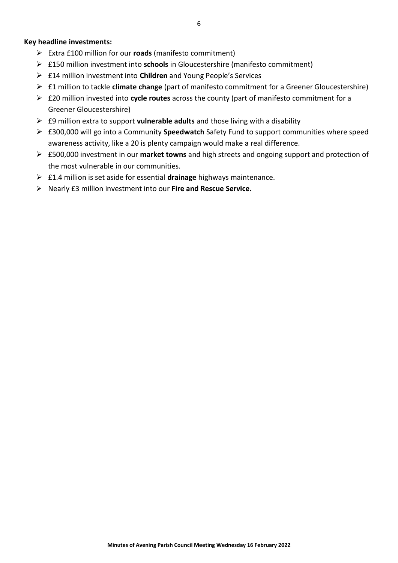## **Key headline investments:**

- ➢ Extra £100 million for our **roads** (manifesto commitment)
- ➢ £150 million investment into **schools** in Gloucestershire (manifesto commitment)
- ➢ £14 million investment into **Children** and Young People's Services
- ➢ £1 million to tackle **climate change** (part of manifesto commitment for a Greener Gloucestershire)
- ➢ £20 million invested into **cycle routes** across the county (part of manifesto commitment for a Greener Gloucestershire)
- ➢ £9 million extra to support **vulnerable adults** and those living with a disability
- ➢ £300,000 will go into a Community **Speedwatch** Safety Fund to support communities where speed awareness activity, like a 20 is plenty campaign would make a real difference.
- ➢ £500,000 investment in our **market towns** and high streets and ongoing support and protection of the most vulnerable in our communities.
- ➢ £1.4 million is set aside for essential **drainage** highways maintenance.
- ➢ Nearly £3 million investment into our **Fire and Rescue Service.**